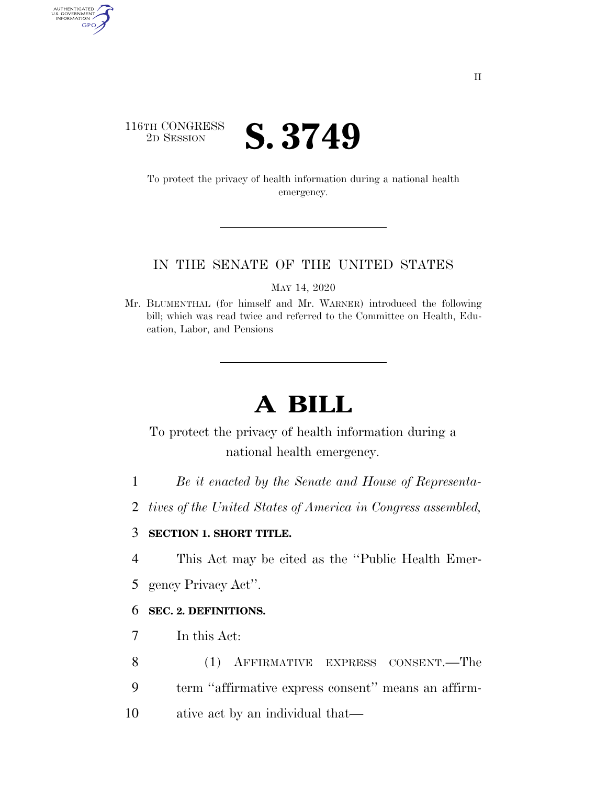## 116TH CONGRESS <sup>2D SESSION</sup> **S. 3749**

AUTHENTICATED<br>U.S. GOVERNMENT<br>INFORMATION GPO

> To protect the privacy of health information during a national health emergency.

#### IN THE SENATE OF THE UNITED STATES

MAY 14, 2020

Mr. BLUMENTHAL (for himself and Mr. WARNER) introduced the following bill; which was read twice and referred to the Committee on Health, Education, Labor, and Pensions

# **A BILL**

To protect the privacy of health information during a national health emergency.

- 1 *Be it enacted by the Senate and House of Representa-*
- 2 *tives of the United States of America in Congress assembled,*

#### 3 **SECTION 1. SHORT TITLE.**

4 This Act may be cited as the ''Public Health Emer-

5 gency Privacy Act''.

### 6 **SEC. 2. DEFINITIONS.**

- 7 In this Act:
- 8 (1) AFFIRMATIVE EXPRESS CONSENT.—The 9 term ''affirmative express consent'' means an affirm-10 ative act by an individual that—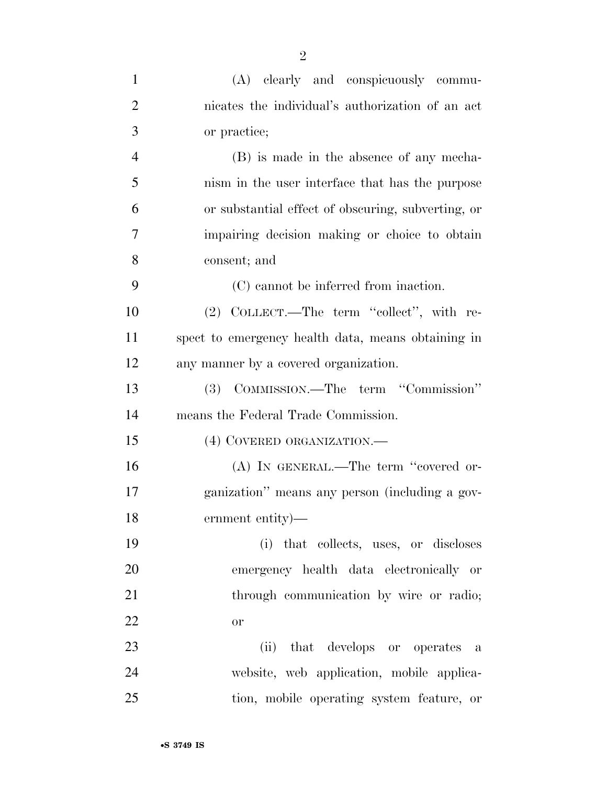| $\mathbf{1}$   | (A) clearly and conspicuously commu-               |
|----------------|----------------------------------------------------|
| $\overline{2}$ | nicates the individual's authorization of an act   |
| 3              | or practice;                                       |
| $\overline{4}$ | (B) is made in the absence of any mecha-           |
| 5              | nism in the user interface that has the purpose    |
| 6              | or substantial effect of obscuring, subverting, or |
| 7              | impairing decision making or choice to obtain      |
| 8              | consent; and                                       |
| 9              | (C) cannot be inferred from inaction.              |
| 10             | (2) COLLECT.—The term "collect", with re-          |
| 11             | spect to emergency health data, means obtaining in |
| 12             | any manner by a covered organization.              |
| 13             | (3) COMMISSION.—The term "Commission"              |
| 14             | means the Federal Trade Commission.                |
| 15             | (4) COVERED ORGANIZATION.                          |
| 16             | (A) IN GENERAL.—The term "covered or-              |
| 17             | ganization" means any person (including a gov-     |
| 18             | ernment entity)—                                   |
| 19             | (i) that collects, uses, or discloses              |
| 20             | emergency health data electronically or            |
| 21             | through communication by wire or radio;            |
| 22             | <b>or</b>                                          |
| 23             | (ii) that develops or operates a                   |
| 24             | website, web application, mobile applica-          |
| 25             | tion, mobile operating system feature, or          |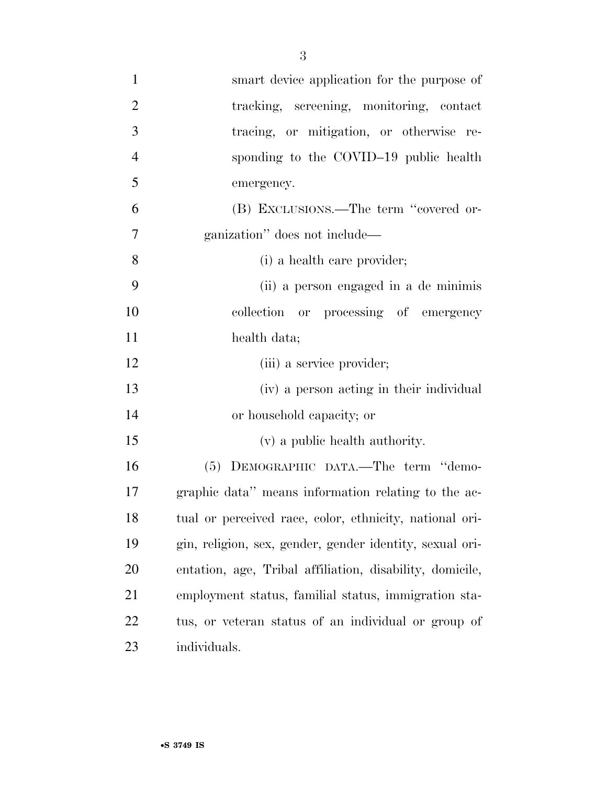| $\mathbf{1}$   | smart device application for the purpose of              |
|----------------|----------------------------------------------------------|
| $\overline{2}$ | tracking, screening, monitoring, contact                 |
| 3              | tracing, or mitigation, or otherwise re-                 |
| $\overline{4}$ | sponding to the COVID-19 public health                   |
| 5              | emergency.                                               |
| 6              | (B) EXCLUSIONS.—The term "covered or-                    |
| 7              | ganization" does not include—                            |
| 8              | (i) a health care provider;                              |
| 9              | (ii) a person engaged in a de minimis                    |
| 10             | collection or processing of emergency                    |
| 11             | health data;                                             |
| 12             | (iii) a service provider;                                |
| 13             | (iv) a person acting in their individual                 |
| 14             | or household capacity; or                                |
| 15             | (v) a public health authority.                           |
| 16             | (5) DEMOGRAPHIC DATA.—The term "demo-                    |
| 17             | graphic data" means information relating to the ac-      |
| 18             | tual or perceived race, color, ethnicity, national ori-  |
| 19             | gin, religion, sex, gender, gender identity, sexual ori- |
| 20             | entation, age, Tribal affiliation, disability, domicile, |
| 21             | employment status, familial status, immigration sta-     |
| 22             | tus, or veteran status of an individual or group of      |
| 23             | individuals.                                             |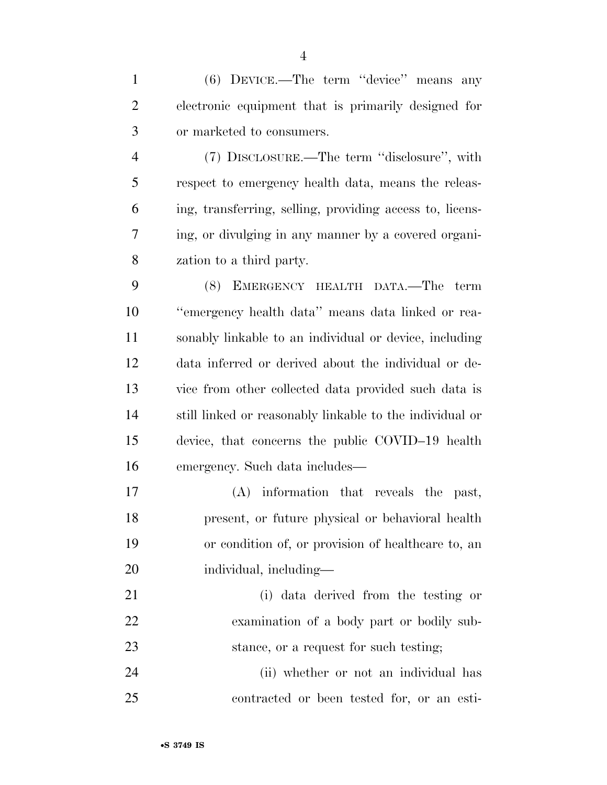(6) DEVICE.—The term ''device'' means any electronic equipment that is primarily designed for or marketed to consumers.

 (7) DISCLOSURE.—The term ''disclosure'', with respect to emergency health data, means the releas- ing, transferring, selling, providing access to, licens- ing, or divulging in any manner by a covered organi-zation to a third party.

 (8) EMERGENCY HEALTH DATA.—The term ''emergency health data'' means data linked or rea- sonably linkable to an individual or device, including data inferred or derived about the individual or de- vice from other collected data provided such data is still linked or reasonably linkable to the individual or device, that concerns the public COVID–19 health emergency. Such data includes—

 (A) information that reveals the past, present, or future physical or behavioral health or condition of, or provision of healthcare to, an individual, including—

 (i) data derived from the testing or examination of a body part or bodily sub-stance, or a request for such testing;

 (ii) whether or not an individual has contracted or been tested for, or an esti-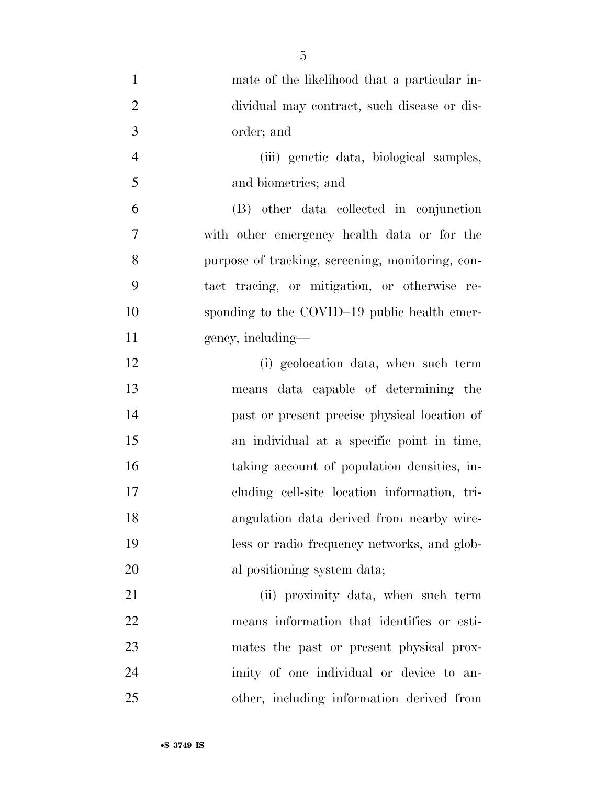| $\mathbf{1}$   | mate of the likelihood that a particular in-     |
|----------------|--------------------------------------------------|
| $\overline{2}$ | dividual may contract, such disease or dis-      |
| 3              | order; and                                       |
| $\overline{4}$ | (iii) genetic data, biological samples,          |
| 5              | and biometrics; and                              |
| 6              | (B) other data collected in conjunction          |
| 7              | with other emergency health data or for the      |
| 8              | purpose of tracking, screening, monitoring, con- |
| 9              | tact tracing, or mitigation, or otherwise re-    |
| 10             | sponding to the COVID-19 public health emer-     |
| 11             | gency, including—                                |
| 12             | (i) geolocation data, when such term             |
| 13             | means data capable of determining the            |
| 14             | past or present precise physical location of     |
| 15             | an individual at a specific point in time,       |
| 16             | taking account of population densities, in-      |
| 17             | cluding cell-site location information, tri-     |
| 18             | angulation data derived from nearby wire-        |
| 19             | less or radio frequency networks, and glob-      |
| 20             | al positioning system data;                      |
| 21             | (ii) proximity data, when such term              |
| 22             | means information that identifies or esti-       |
| 23             | mates the past or present physical prox-         |
| 24             | imity of one individual or device to an-         |
| 25             | other, including information derived from        |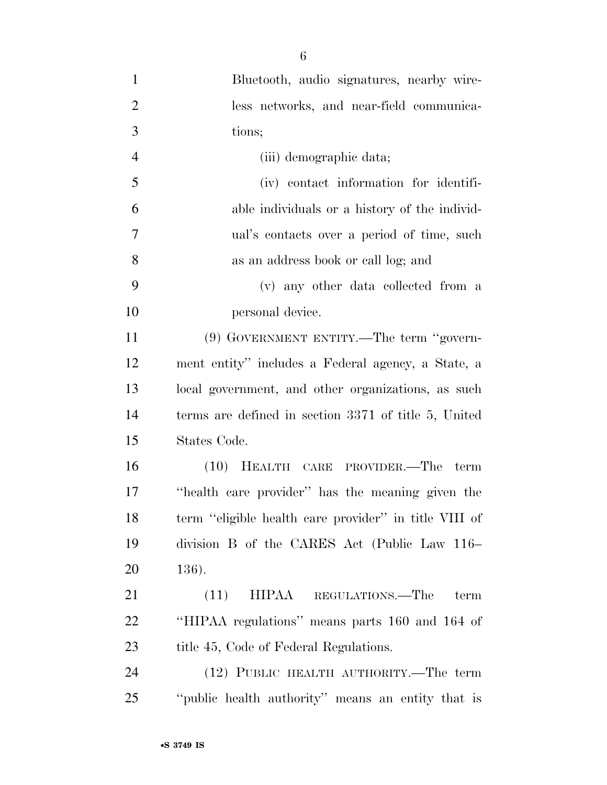| $\mathbf{1}$   | Bluetooth, audio signatures, nearby wire-             |
|----------------|-------------------------------------------------------|
| $\overline{2}$ | less networks, and near-field communica-              |
| 3              | tions;                                                |
| $\overline{4}$ | (iii) demographic data;                               |
| 5              | (iv) contact information for identifi-                |
| 6              | able individuals or a history of the individ-         |
| 7              | ual's contacts over a period of time, such            |
| $8\,$          | as an address book or call log; and                   |
| 9              | (v) any other data collected from a                   |
| 10             | personal device.                                      |
| 11             | (9) GOVERNMENT ENTITY.—The term "govern-              |
| 12             | ment entity" includes a Federal agency, a State, a    |
| 13             | local government, and other organizations, as such    |
| 14             | terms are defined in section 3371 of title 5, United  |
| 15             | States Code.                                          |
| 16             | (10) HEALTH CARE PROVIDER.—The term                   |
| 17             | "health care provider" has the meaning given the      |
| 18             | term "eligible health care provider" in title VIII of |
| 19             | division B of the CARES Act (Public Law 116–          |
| 20             | 136).                                                 |
| 21             | (11)<br>HIPAA<br>REGULATIONS.—The<br>term             |
| 22             | "HIPAA regulations" means parts 160 and 164 of        |
| 23             | title 45, Code of Federal Regulations.                |
| 24             | (12) PUBLIC HEALTH AUTHORITY.—The term                |
| 25             | "public health authority" means an entity that is     |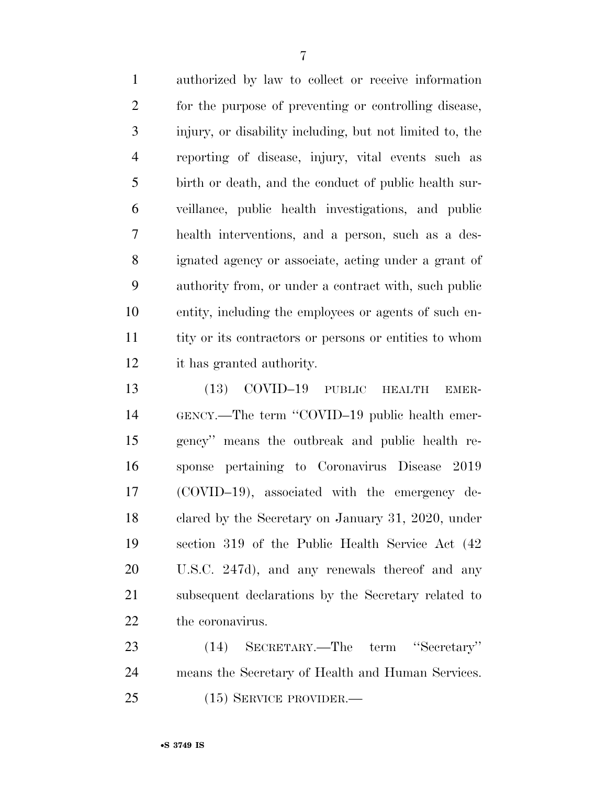authorized by law to collect or receive information for the purpose of preventing or controlling disease, injury, or disability including, but not limited to, the reporting of disease, injury, vital events such as birth or death, and the conduct of public health sur- veillance, public health investigations, and public health interventions, and a person, such as a des- ignated agency or associate, acting under a grant of authority from, or under a contract with, such public entity, including the employees or agents of such en- tity or its contractors or persons or entities to whom it has granted authority.

 (13) COVID–19 PUBLIC HEALTH EMER- GENCY.—The term ''COVID–19 public health emer- gency'' means the outbreak and public health re- sponse pertaining to Coronavirus Disease 2019 (COVID–19), associated with the emergency de- clared by the Secretary on January 31, 2020, under section 319 of the Public Health Service Act (42 U.S.C. 247d), and any renewals thereof and any subsequent declarations by the Secretary related to the coronavirus.

 (14) SECRETARY.—The term ''Secretary'' means the Secretary of Health and Human Services. (15) SERVICE PROVIDER.—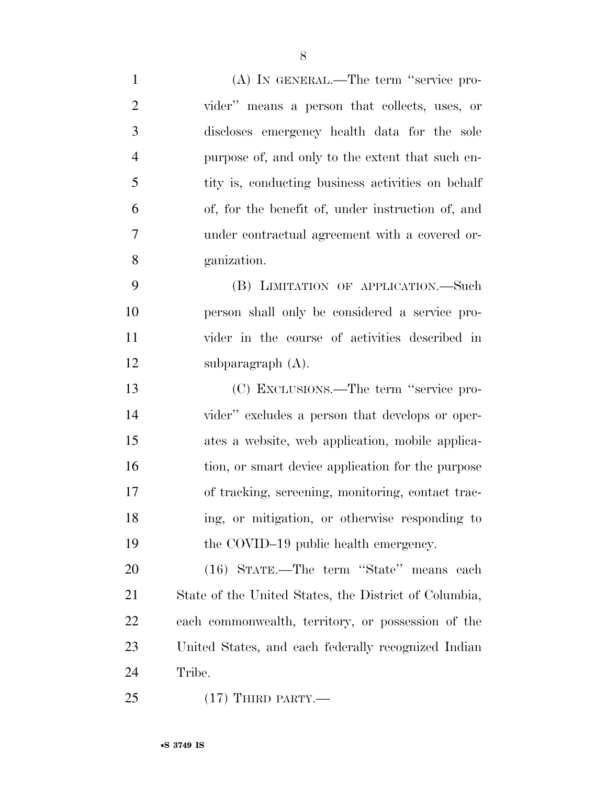| $\mathbf{1}$   | (A) IN GENERAL.—The term "service pro-                |
|----------------|-------------------------------------------------------|
| $\overline{2}$ | vider" means a person that collects, uses, or         |
| 3              | discloses emergency health data for the sole          |
| $\overline{4}$ | purpose of, and only to the extent that such en-      |
| 5              | tity is, conducting business activities on behalf     |
| 6              | of, for the benefit of, under instruction of, and     |
| $\tau$         | under contractual agreement with a covered or-        |
| 8              | ganization.                                           |
| 9              | (B) LIMITATION OF APPLICATION.—Such                   |
| 10             | person shall only be considered a service pro-        |
| 11             | vider in the course of activities described in        |
| 12             | subparagraph $(A)$ .                                  |
| 13             | (C) EXCLUSIONS.—The term "service pro-                |
| 14             | vider" excludes a person that develops or oper-       |
| 15             | ates a website, web application, mobile applica-      |
| 16             | tion, or smart device application for the purpose     |
| 17             | of tracking, screening, monitoring, contact trac-     |
| 18             | ing, or mitigation, or otherwise responding to        |
| 19             | the COVID-19 public health emergency.                 |
| 20             | (16) STATE.—The term "State" means each               |
| 21             | State of the United States, the District of Columbia, |
| 22             | each commonwealth, territory, or possession of the    |
| 23             | United States, and each federally recognized Indian   |
| 24             | Tribe.                                                |
| 25             | $(17)$ THIRD PARTY.—                                  |

•**S 3749 IS**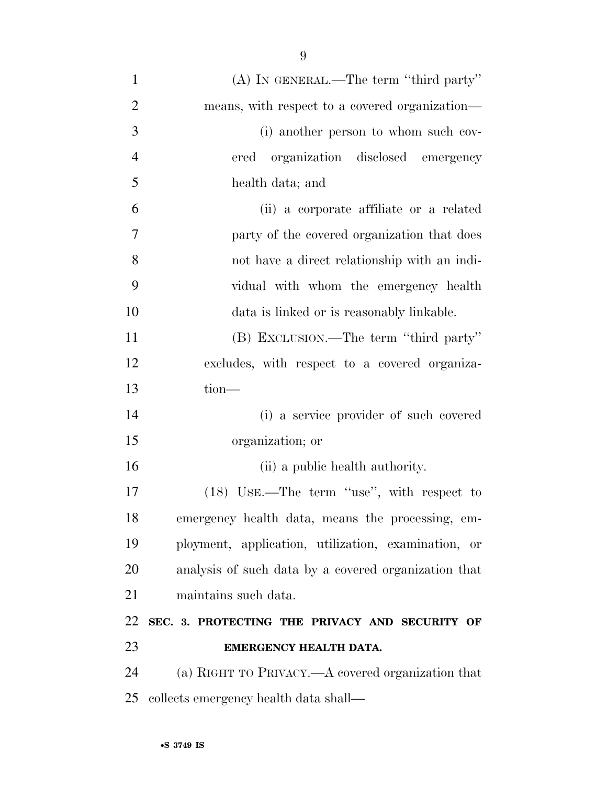| $\mathbf{1}$   | (A) IN GENERAL.—The term "third party"               |
|----------------|------------------------------------------------------|
| $\overline{2}$ | means, with respect to a covered organization—       |
| 3              | (i) another person to whom such cov-                 |
| $\overline{4}$ | ered organization disclosed emergency                |
| 5              | health data; and                                     |
| 6              | (ii) a corporate affiliate or a related              |
| 7              | party of the covered organization that does          |
| 8              | not have a direct relationship with an indi-         |
| 9              | vidual with whom the emergency health                |
| 10             | data is linked or is reasonably linkable.            |
| 11             | (B) EXCLUSION.—The term "third party"                |
| 12             | excludes, with respect to a covered organiza-        |
| 13             | tion-                                                |
| 14             | (i) a service provider of such covered               |
| 15             | organization; or                                     |
| 16             | (ii) a public health authority.                      |
| 17             | (18) USE.—The term "use", with respect to            |
| 18             | emergency health data, means the processing, em-     |
| 19             | ployment, application, utilization, examination, or  |
| 20             | analysis of such data by a covered organization that |
| 21             | maintains such data.                                 |
| 22             | SEC. 3. PROTECTING THE PRIVACY AND SECURITY OF       |
| 23             | EMERGENCY HEALTH DATA.                               |
| 24             | (a) RIGHT TO PRIVACY.—A covered organization that    |
| 25             | collects emergency health data shall—                |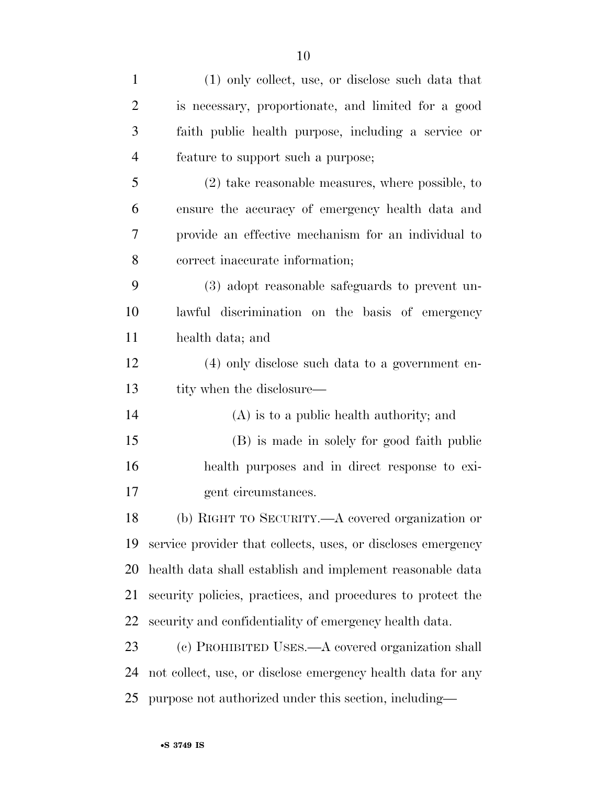| $\mathbf{1}$ | (1) only collect, use, or disclose such data that            |
|--------------|--------------------------------------------------------------|
| 2            | is necessary, proportionate, and limited for a good          |
| 3            | faith public health purpose, including a service or          |
| 4            | feature to support such a purpose;                           |
| 5            | $(2)$ take reasonable measures, where possible, to           |
| 6            | ensure the accuracy of emergency health data and             |
| 7            | provide an effective mechanism for an individual to          |
| 8            | correct inaccurate information;                              |
| 9            | (3) adopt reasonable safeguards to prevent un-               |
| 10           | lawful discrimination on the basis of emergency              |
| 11           | health data; and                                             |
| 12           | (4) only disclose such data to a government en-              |
| 13           | tity when the disclosure—                                    |
| 14           | $(A)$ is to a public health authority; and                   |
| 15           | (B) is made in solely for good faith public                  |
| 16           | health purposes and in direct response to exi-               |
| 17           | gent circumstances.                                          |
| 18           | (b) RIGHT TO SECURITY. A covered organization or             |
| 19           | service provider that collects, uses, or discloses emergency |
| 20           | health data shall establish and implement reasonable data    |
| 21           | security policies, practices, and procedures to protect the  |
| 22           | security and confidentiality of emergency health data.       |
| 23           | (c) PROHIBITED USES.—A covered organization shall            |
| 24           |                                                              |
|              | not collect, use, or disclose emergency health data for any  |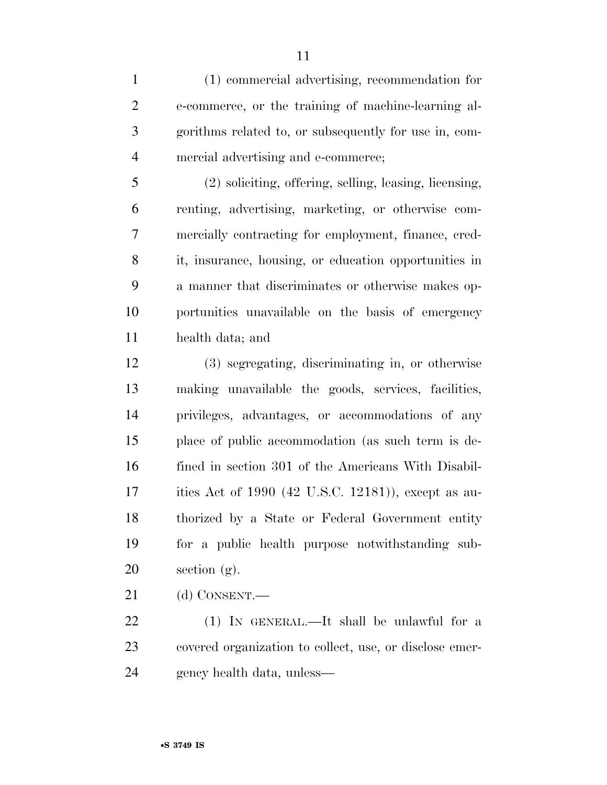(1) commercial advertising, recommendation for e-commerce, or the training of machine-learning al- gorithms related to, or subsequently for use in, com-mercial advertising and e-commerce;

 (2) soliciting, offering, selling, leasing, licensing, renting, advertising, marketing, or otherwise com- mercially contracting for employment, finance, cred- it, insurance, housing, or education opportunities in a manner that discriminates or otherwise makes op- portunities unavailable on the basis of emergency health data; and

 (3) segregating, discriminating in, or otherwise making unavailable the goods, services, facilities, privileges, advantages, or accommodations of any place of public accommodation (as such term is de- fined in section 301 of the Americans With Disabil- ities Act of 1990 (42 U.S.C. 12181)), except as au- thorized by a State or Federal Government entity for a public health purpose notwithstanding sub-20 section  $(g)$ .

(d) CONSENT.—

22 (1) IN GENERAL.—It shall be unlawful for a covered organization to collect, use, or disclose emer-gency health data, unless—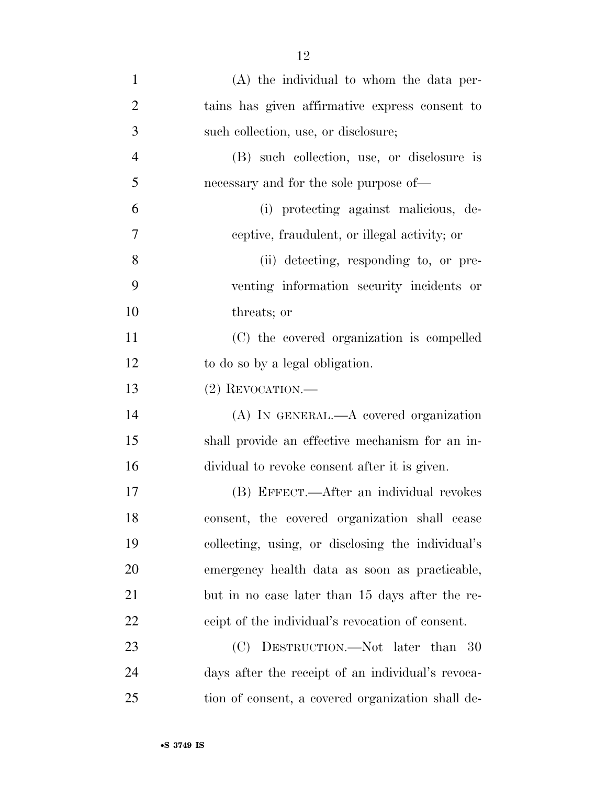| $\mathbf{1}$   | (A) the individual to whom the data per-          |
|----------------|---------------------------------------------------|
| $\overline{2}$ | tains has given affirmative express consent to    |
| 3              | such collection, use, or disclosure;              |
| $\overline{4}$ | (B) such collection, use, or disclosure is        |
| 5              | necessary and for the sole purpose of—            |
| 6              | (i) protecting against malicious, de-             |
| 7              | ceptive, fraudulent, or illegal activity; or      |
| 8              | (ii) detecting, responding to, or pre-            |
| 9              | venting information security incidents or         |
| 10             | threats; or                                       |
| 11             | (C) the covered organization is compelled         |
| 12             | to do so by a legal obligation.                   |
| 13             | $(2)$ REVOCATION.—                                |
| 14             | $(A)$ In GENERAL.— $A$ covered organization       |
| 15             | shall provide an effective mechanism for an in-   |
| 16             | dividual to revoke consent after it is given.     |
| 17             | (B) EFFECT.—After an individual revokes           |
| 18             | consent, the covered organization shall cease     |
| 19             | collecting, using, or disclosing the individual's |
| 20             | emergency health data as soon as practicable,     |
| 21             | but in no case later than 15 days after the re-   |
| 22             | ceipt of the individual's revocation of consent.  |
| 23             | (C) DESTRUCTION.—Not later than 30                |
| 24             | days after the receipt of an individual's revoca- |
| 25             | tion of consent, a covered organization shall de- |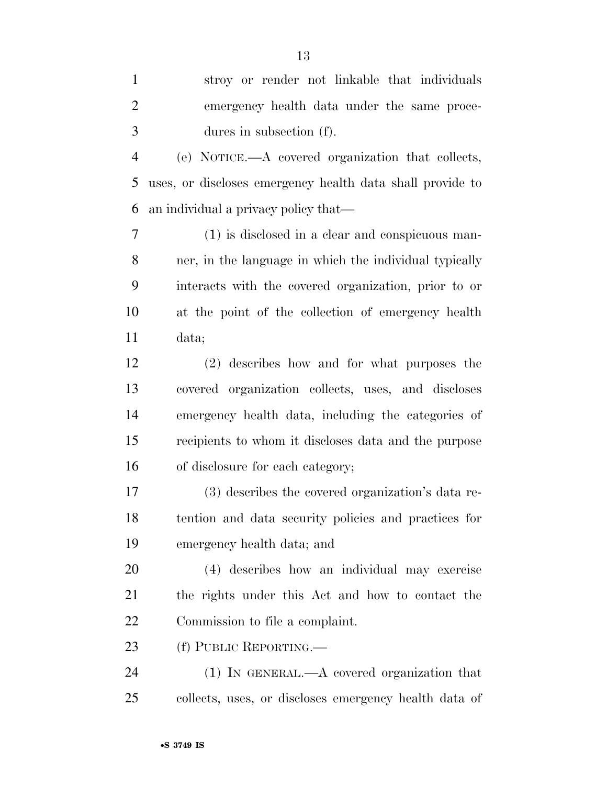stroy or render not linkable that individuals emergency health data under the same proce- dures in subsection (f). (e) NOTICE.—A covered organization that collects, uses, or discloses emergency health data shall provide to an individual a privacy policy that— (1) is disclosed in a clear and conspicuous man- ner, in the language in which the individual typically interacts with the covered organization, prior to or at the point of the collection of emergency health data; (2) describes how and for what purposes the covered organization collects, uses, and discloses emergency health data, including the categories of recipients to whom it discloses data and the purpose of disclosure for each category; (3) describes the covered organization's data re- tention and data security policies and practices for emergency health data; and (4) describes how an individual may exercise the rights under this Act and how to contact the Commission to file a complaint. 23 (f) PUBLIC REPORTING. (1) IN GENERAL.—A covered organization that collects, uses, or discloses emergency health data of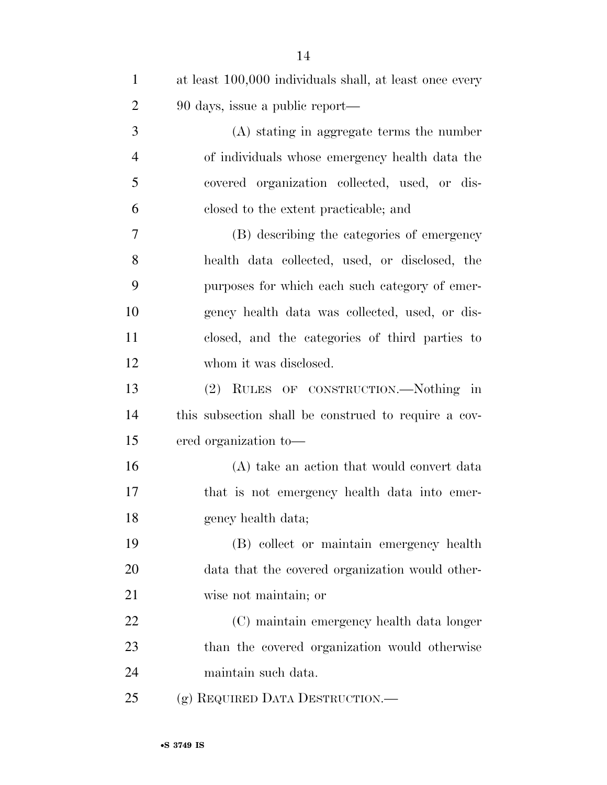| $\mathbf{1}$   | at least 100,000 individuals shall, at least once every |
|----------------|---------------------------------------------------------|
| $\overline{2}$ | 90 days, issue a public report—                         |
| 3              | (A) stating in aggregate terms the number               |
| $\overline{4}$ | of individuals whose emergency health data the          |
| 5              | covered organization collected, used, or dis-           |
| 6              | closed to the extent practicable; and                   |
| $\overline{7}$ | (B) describing the categories of emergency              |
| 8              | health data collected, used, or disclosed, the          |
| 9              | purposes for which each such category of emer-          |
| 10             | gency health data was collected, used, or dis-          |
| 11             | closed, and the categories of third parties to          |
| 12             | whom it was disclosed.                                  |
| 13             | (2) RULES OF CONSTRUCTION.—Nothing in                   |
| 14             | this subsection shall be construed to require a cov-    |
| 15             | ered organization to-                                   |
| 16             | (A) take an action that would convert data              |
| 17             | that is not emergency health data into emer-            |
| 18             | gency health data;                                      |
| 19             | (B) collect or maintain emergency health                |
| 20             | data that the covered organization would other-         |
| 21             | wise not maintain; or                                   |
| 22             | (C) maintain emergency health data longer               |
| 23             | than the covered organization would otherwise           |
| 24             | maintain such data.                                     |
| 25             | (g) REQUIRED DATA DESTRUCTION.—                         |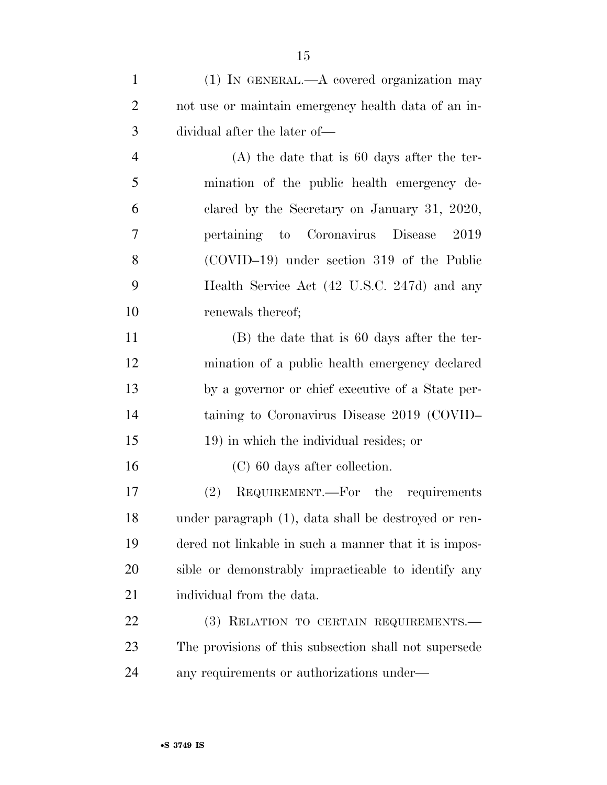(1) IN GENERAL.—A covered organization may not use or maintain emergency health data of an in- dividual after the later of— (A) the date that is 60 days after the ter- mination of the public health emergency de- clared by the Secretary on January 31, 2020, pertaining to Coronavirus Disease 2019 (COVID–19) under section 319 of the Public Health Service Act (42 U.S.C. 247d) and any 10 renewals thereof; (B) the date that is 60 days after the ter- mination of a public health emergency declared by a governor or chief executive of a State per- taining to Coronavirus Disease 2019 (COVID– 19) in which the individual resides; or (C) 60 days after collection. (2) REQUIREMENT.—For the requirements under paragraph (1), data shall be destroyed or ren- dered not linkable in such a manner that it is impos- sible or demonstrably impracticable to identify any 21 individual from the data. 22 (3) RELATION TO CERTAIN REQUIREMENTS. The provisions of this subsection shall not supersede

any requirements or authorizations under—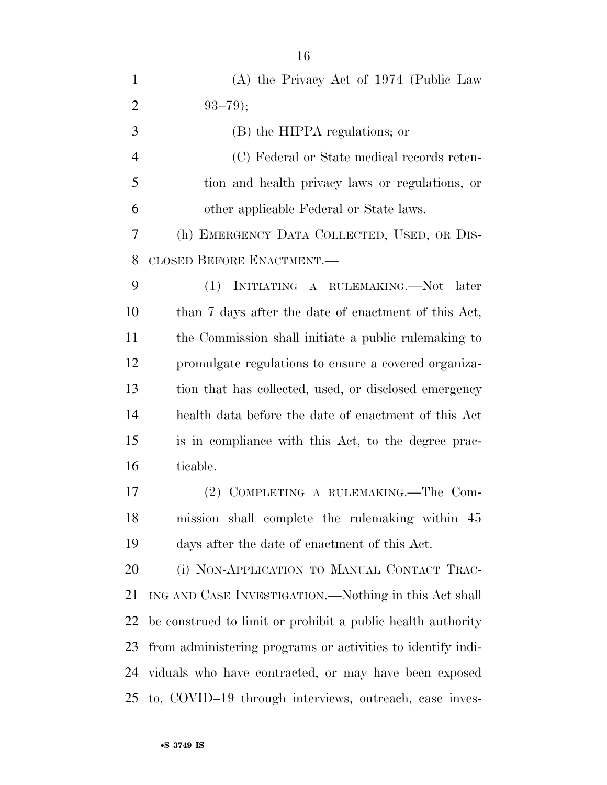| $\mathbf{1}$   | (A) the Privacy Act of 1974 (Public Law                     |
|----------------|-------------------------------------------------------------|
| $\overline{2}$ | $93 - 79$ ;                                                 |
| 3              | (B) the HIPPA regulations; or                               |
| $\overline{4}$ | (C) Federal or State medical records reten-                 |
| 5              | tion and health privacy laws or regulations, or             |
| 6              | other applicable Federal or State laws.                     |
| 7              | (h) EMERGENCY DATA COLLECTED, USED, OR DIS-                 |
| 8              | CLOSED BEFORE ENACTMENT.                                    |
| 9              | (1)<br>INITIATING A RULEMAKING.-Not<br>later                |
| 10             | than 7 days after the date of enactment of this Act,        |
| 11             | the Commission shall initiate a public rule making to       |
| 12             | promulgate regulations to ensure a covered organiza-        |
| 13             | tion that has collected, used, or disclosed emergency       |
| 14             | health data before the date of enactment of this Act        |
| 15             | is in compliance with this Act, to the degree prac-         |
| 16             | ticable.                                                    |
| 17             | (2) COMPLETING A RULEMAKING.—The Com-                       |
| 18             | mission shall complete the rulemaking within 45             |
| 19             | days after the date of enactment of this Act.               |
| 20             | (i) NON-APPLICATION TO MANUAL CONTACT TRAC-                 |
| 21             | ING AND CASE INVESTIGATION.—Nothing in this Act shall       |
| 22             | be construed to limit or prohibit a public health authority |
| 23             | from administering programs or activities to identify indi- |
| 24             | viduals who have contracted, or may have been exposed       |
| 25             | to, COVID-19 through interviews, outreach, case inves-      |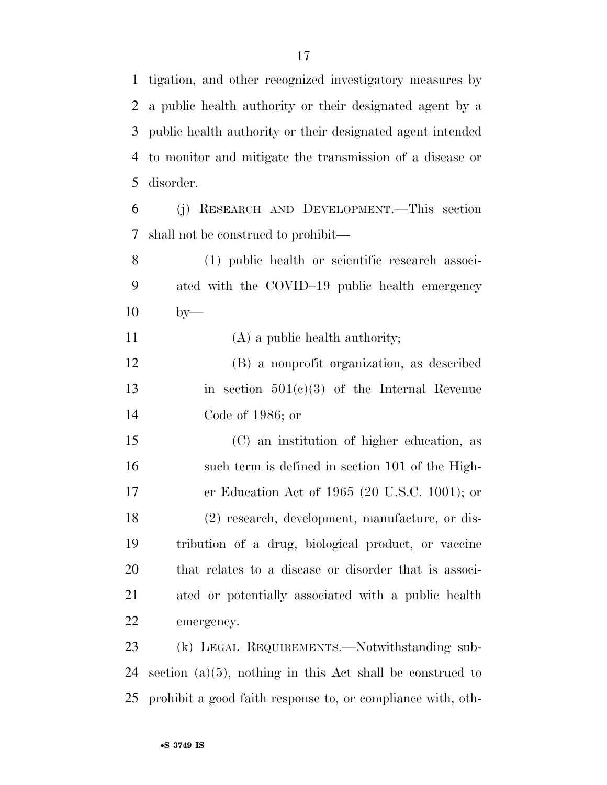tigation, and other recognized investigatory measures by

 a public health authority or their designated agent by a public health authority or their designated agent intended to monitor and mitigate the transmission of a disease or disorder.

 (j) RESEARCH AND DEVELOPMENT.—This section shall not be construed to prohibit—

 (1) public health or scientific research associ- ated with the COVID–19 public health emergency by—

11 (A) a public health authority;

 (B) a nonprofit organization, as described in section 501(c)(3) of the Internal Revenue Code of 1986; or

 (C) an institution of higher education, as such term is defined in section 101 of the High- er Education Act of 1965 (20 U.S.C. 1001); or (2) research, development, manufacture, or dis- tribution of a drug, biological product, or vaccine that relates to a disease or disorder that is associ- ated or potentially associated with a public health emergency.

 (k) LEGAL REQUIREMENTS.—Notwithstanding sub- section (a)(5), nothing in this Act shall be construed to prohibit a good faith response to, or compliance with, oth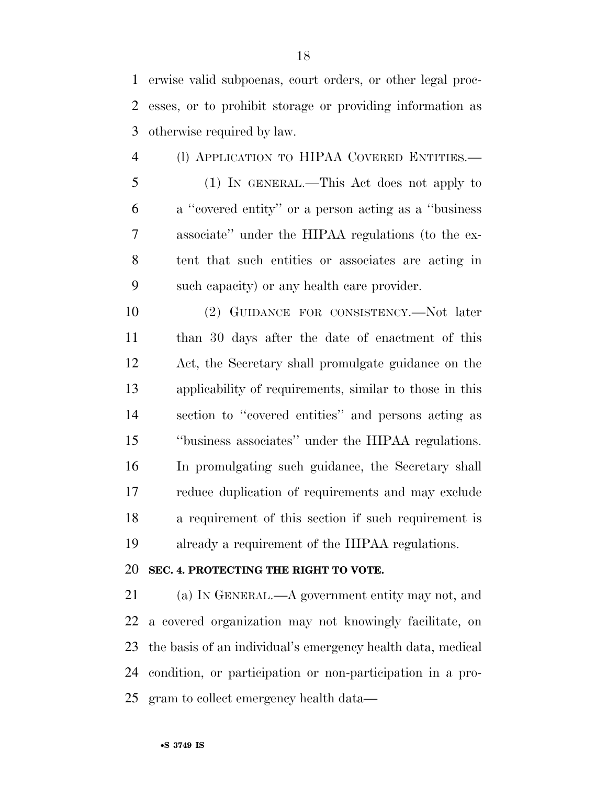erwise valid subpoenas, court orders, or other legal proc- esses, or to prohibit storage or providing information as otherwise required by law.

 (l) APPLICATION TO HIPAA COVERED ENTITIES.— (1) IN GENERAL.—This Act does not apply to a ''covered entity'' or a person acting as a ''business associate'' under the HIPAA regulations (to the ex- tent that such entities or associates are acting in such capacity) or any health care provider.

 (2) GUIDANCE FOR CONSISTENCY.—Not later than 30 days after the date of enactment of this Act, the Secretary shall promulgate guidance on the applicability of requirements, similar to those in this section to ''covered entities'' and persons acting as ''business associates'' under the HIPAA regulations. In promulgating such guidance, the Secretary shall reduce duplication of requirements and may exclude a requirement of this section if such requirement is already a requirement of the HIPAA regulations.

#### **SEC. 4. PROTECTING THE RIGHT TO VOTE.**

 (a) IN GENERAL.—A government entity may not, and a covered organization may not knowingly facilitate, on the basis of an individual's emergency health data, medical condition, or participation or non-participation in a pro-gram to collect emergency health data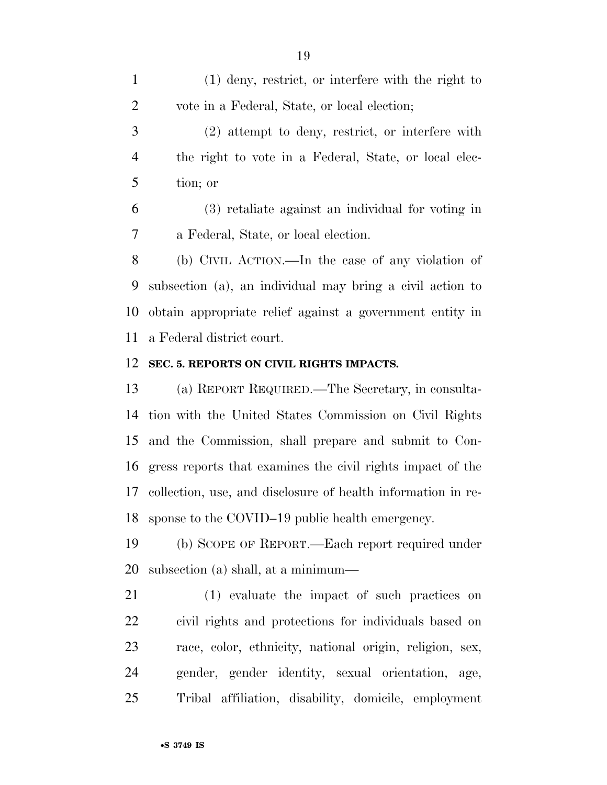(1) deny, restrict, or interfere with the right to vote in a Federal, State, or local election;

 (2) attempt to deny, restrict, or interfere with the right to vote in a Federal, State, or local elec-tion; or

 (3) retaliate against an individual for voting in a Federal, State, or local election.

 (b) CIVIL ACTION.—In the case of any violation of subsection (a), an individual may bring a civil action to obtain appropriate relief against a government entity in a Federal district court.

#### **SEC. 5. REPORTS ON CIVIL RIGHTS IMPACTS.**

 (a) REPORT REQUIRED.—The Secretary, in consulta- tion with the United States Commission on Civil Rights and the Commission, shall prepare and submit to Con- gress reports that examines the civil rights impact of the collection, use, and disclosure of health information in re-sponse to the COVID–19 public health emergency.

 (b) SCOPE OF REPORT.—Each report required under subsection (a) shall, at a minimum—

 (1) evaluate the impact of such practices on civil rights and protections for individuals based on race, color, ethnicity, national origin, religion, sex, gender, gender identity, sexual orientation, age, Tribal affiliation, disability, domicile, employment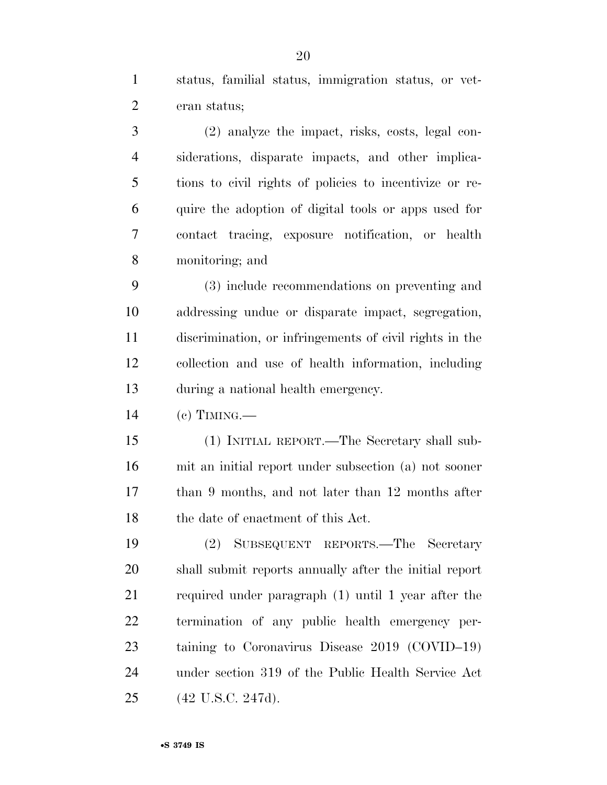status, familial status, immigration status, or vet-eran status;

 (2) analyze the impact, risks, costs, legal con- siderations, disparate impacts, and other implica- tions to civil rights of policies to incentivize or re- quire the adoption of digital tools or apps used for contact tracing, exposure notification, or health monitoring; and

 (3) include recommendations on preventing and addressing undue or disparate impact, segregation, discrimination, or infringements of civil rights in the collection and use of health information, including during a national health emergency.

(c) TIMING.—

 (1) INITIAL REPORT.—The Secretary shall sub- mit an initial report under subsection (a) not sooner than 9 months, and not later than 12 months after 18 the date of enactment of this Act.

 (2) SUBSEQUENT REPORTS.—The Secretary shall submit reports annually after the initial report required under paragraph (1) until 1 year after the termination of any public health emergency per- taining to Coronavirus Disease 2019 (COVID–19) under section 319 of the Public Health Service Act (42 U.S.C. 247d).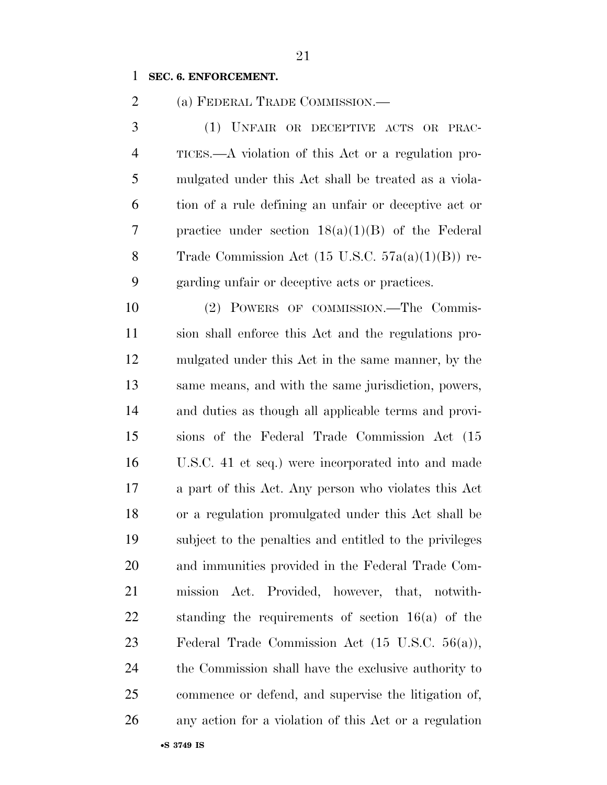#### **SEC. 6. ENFORCEMENT.**

(a) FEDERAL TRADE COMMISSION.—

 (1) UNFAIR OR DECEPTIVE ACTS OR PRAC- TICES.—A violation of this Act or a regulation pro- mulgated under this Act shall be treated as a viola- tion of a rule defining an unfair or deceptive act or practice under section 18(a)(1)(B) of the Federal Trade Commission Act (15 U.S.C. 57a(a)(1)(B)) re-garding unfair or deceptive acts or practices.

 (2) POWERS OF COMMISSION.—The Commis- sion shall enforce this Act and the regulations pro- mulgated under this Act in the same manner, by the same means, and with the same jurisdiction, powers, and duties as though all applicable terms and provi- sions of the Federal Trade Commission Act (15 U.S.C. 41 et seq.) were incorporated into and made a part of this Act. Any person who violates this Act or a regulation promulgated under this Act shall be subject to the penalties and entitled to the privileges and immunities provided in the Federal Trade Com- mission Act. Provided, however, that, notwith- standing the requirements of section 16(a) of the Federal Trade Commission Act (15 U.S.C. 56(a)), the Commission shall have the exclusive authority to commence or defend, and supervise the litigation of, any action for a violation of this Act or a regulation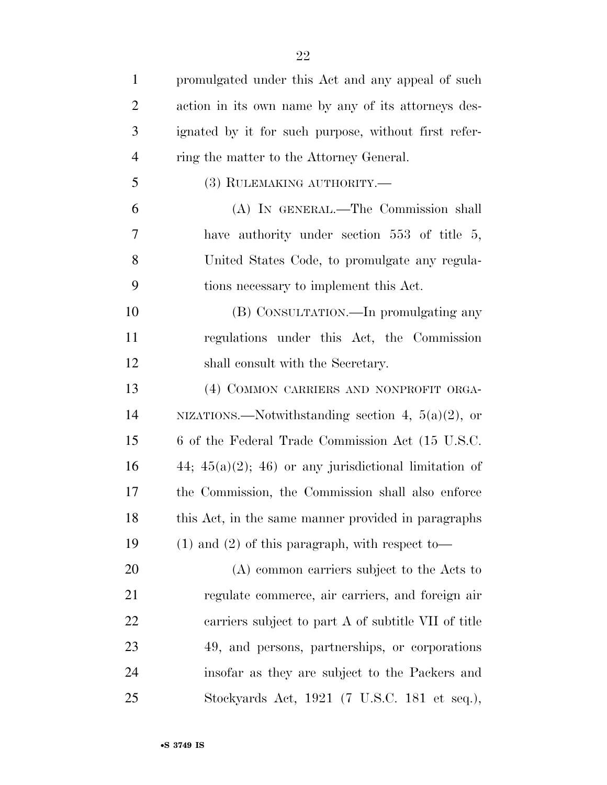| $\mathbf{1}$   | promulgated under this Act and any appeal of such        |
|----------------|----------------------------------------------------------|
| $\overline{2}$ | action in its own name by any of its attorneys des-      |
| 3              | ignated by it for such purpose, without first refer-     |
| $\overline{4}$ | ring the matter to the Attorney General.                 |
| 5              | (3) RULEMAKING AUTHORITY.-                               |
| 6              | (A) IN GENERAL.—The Commission shall                     |
| 7              | have authority under section $553$ of title 5,           |
| 8              | United States Code, to promulgate any regula-            |
| 9              | tions necessary to implement this Act.                   |
| 10             | (B) CONSULTATION.—In promulgating any                    |
| 11             | regulations under this Act, the Commission               |
| 12             | shall consult with the Secretary.                        |
| 13             | (4) COMMON CARRIERS AND NONPROFIT ORGA-                  |
| 14             | NIZATIONS.—Notwithstanding section 4, $5(a)(2)$ , or     |
| 15             | 6 of the Federal Trade Commission Act (15 U.S.C.         |
| 16             | 44; $45(a)(2)$ ; 46) or any jurisdictional limitation of |
| 17             | the Commission, the Commission shall also enforce        |
| 18             | this Act, in the same manner provided in paragraphs      |
| 19             | $(1)$ and $(2)$ of this paragraph, with respect to-      |
| 20             | (A) common carriers subject to the Acts to               |
| 21             | regulate commerce, air carriers, and foreign air         |
| 22             | carriers subject to part A of subtitle VII of title      |
| 23             | 49, and persons, partnerships, or corporations           |
| 24             | insofar as they are subject to the Packers and           |
|                |                                                          |

Stockyards Act, 1921 (7 U.S.C. 181 et seq.),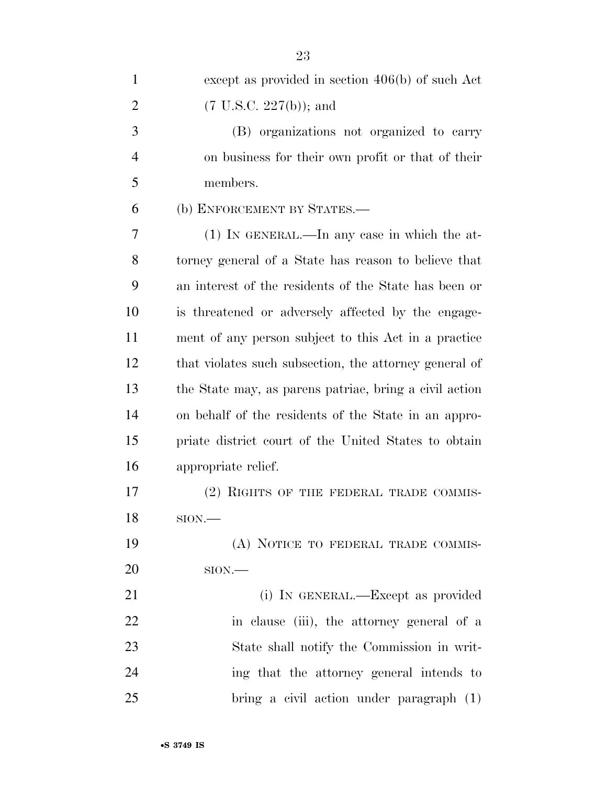| $\mathbf{1}$   | except as provided in section $406(b)$ of such Act     |
|----------------|--------------------------------------------------------|
| 2              | $(7 \text{ U.S.C. } 227(b))$ ; and                     |
| 3              | (B) organizations not organized to carry               |
| $\overline{4}$ | on business for their own profit or that of their      |
| 5              | members.                                               |
| 6              | (b) ENFORCEMENT BY STATES.-                            |
| 7              | $(1)$ IN GENERAL.—In any case in which the at-         |
| 8              | torney general of a State has reason to believe that   |
| 9              | an interest of the residents of the State has been or  |
| 10             | is threatened or adversely affected by the engage-     |
| 11             | ment of any person subject to this Act in a practice   |
| 12             | that violates such subsection, the attorney general of |
| 13             | the State may, as parens patriae, bring a civil action |
| 14             | on behalf of the residents of the State in an appro-   |
| 15             | priate district court of the United States to obtain   |
| 16             | appropriate relief.                                    |
| 17             | (2) RIGHTS OF THE FEDERAL TRADE COMMIS-                |
| 18             | $SION$ —                                               |
| 19             | (A) NOTICE TO FEDERAL TRADE COMMIS-                    |
| 20             | $SION$ .                                               |
| 21             | (i) IN GENERAL.—Except as provided                     |
| 22             | in clause (iii), the attorney general of a             |
| 23             | State shall notify the Commission in writ-             |
| 24             | ing that the attorney general intends to               |
| 25             | bring a civil action under paragraph (1)               |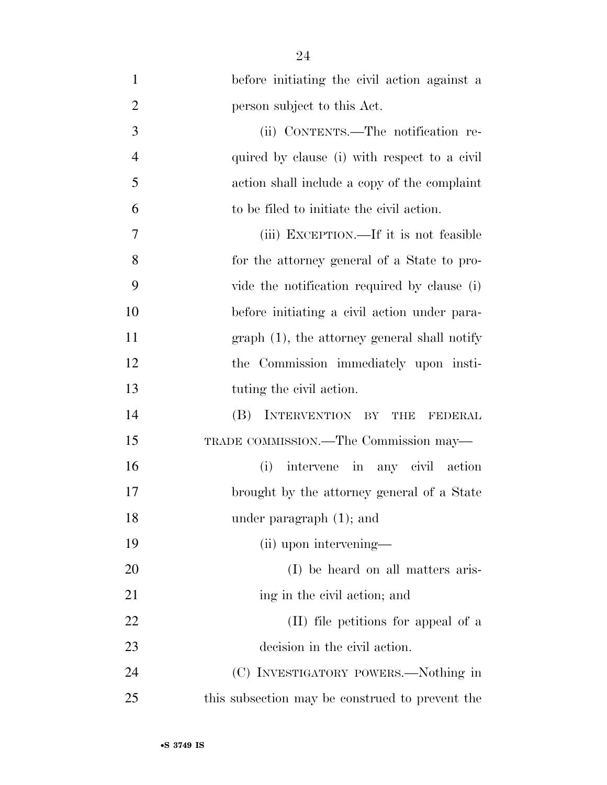| $\mathbf{1}$   | before initiating the civil action against a    |
|----------------|-------------------------------------------------|
| $\overline{2}$ | person subject to this Act.                     |
| 3              | (ii) CONTENTS.—The notification re-             |
| $\overline{4}$ | quired by clause (i) with respect to a civil    |
| 5              | action shall include a copy of the complaint    |
| 6              | to be filed to initiate the civil action.       |
| 7              | (iii) EXCEPTION.—If it is not feasible          |
| 8              | for the attorney general of a State to pro-     |
| 9              | vide the notification required by clause (i)    |
| 10             | before initiating a civil action under para-    |
| 11             | $graph(1)$ , the attorney general shall notify  |
| 12             | the Commission immediately upon insti-          |
| 13             | tuting the civil action.                        |
| 14             | INTERVENTION BY<br>(B)<br>THE<br>FEDERAL        |
| 15             | TRADE COMMISSION.—The Commission may—           |
| 16             | intervene in any civil action<br>(i)            |
| 17             | brought by the attorney general of a State      |
| 18             | under paragraph $(1)$ ; and                     |
| 19             | (ii) upon intervening—                          |
| 20             | (I) be heard on all matters aris-               |
| 21             | ing in the civil action; and                    |
| 22             | (II) file petitions for appeal of a             |
| 23             | decision in the civil action.                   |
| 24             | (C) INVESTIGATORY POWERS.—Nothing in            |
| 25             | this subsection may be construed to prevent the |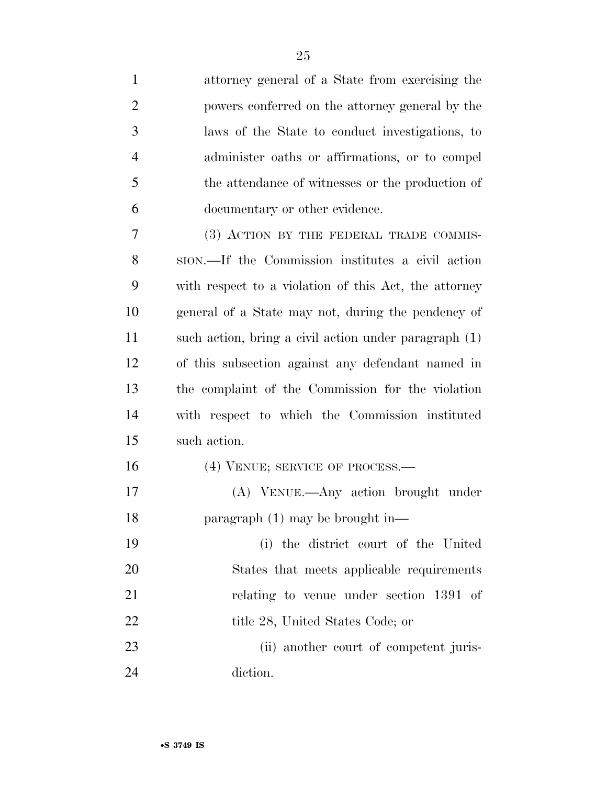attorney general of a State from exercising the powers conferred on the attorney general by the laws of the State to conduct investigations, to administer oaths or affirmations, or to compel the attendance of witnesses or the production of documentary or other evidence. (3) ACTION BY THE FEDERAL TRADE COMMIS- SION.—If the Commission institutes a civil action with respect to a violation of this Act, the attorney general of a State may not, during the pendency of such action, bring a civil action under paragraph (1) of this subsection against any defendant named in the complaint of the Commission for the violation with respect to which the Commission instituted such action. 16 (4) VENUE; SERVICE OF PROCESS.— (A) VENUE.—Any action brought under paragraph (1) may be brought in— (i) the district court of the United States that meets applicable requirements relating to venue under section 1391 of 22 title 28, United States Code; or (ii) another court of competent juris-

diction.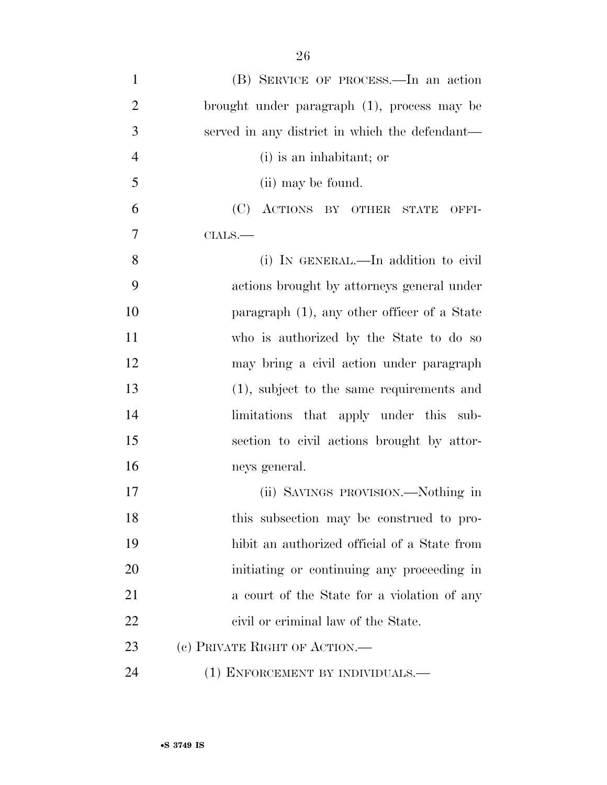| $\mathbf{1}$   | (B) SERVICE OF PROCESS.—In an action           |
|----------------|------------------------------------------------|
| $\overline{2}$ | brought under paragraph (1), process may be    |
| 3              | served in any district in which the defendant— |
| $\overline{4}$ | (i) is an inhabitant; or                       |
| 5              | (ii) may be found.                             |
| 6              | (C) ACTIONS BY OTHER<br>STATE<br>OFFI-         |
| 7              | $\text{CIALS.}$ —                              |
| 8              | (i) IN GENERAL.—In addition to civil           |
| 9              | actions brought by attorneys general under     |
| 10             | paragraph $(1)$ , any other officer of a State |
| 11             | who is authorized by the State to do so        |
| 12             | may bring a civil action under paragraph       |
| 13             | (1), subject to the same requirements and      |
| 14             | limitations that apply under this sub-         |
| 15             | section to civil actions brought by attor-     |
| 16             | neys general.                                  |
| 17             | (ii) SAVINGS PROVISION.—Nothing in             |
| 18             | this subsection may be construed to pro-       |
| 19             | hibit an authorized official of a State from   |
| 20             | initiating or continuing any proceeding in     |
| 21             | a court of the State for a violation of any    |
| 22             | civil or criminal law of the State.            |
| 23             | (c) PRIVATE RIGHT OF ACTION.                   |
| 24             | (1) ENFORCEMENT BY INDIVIDUALS.—               |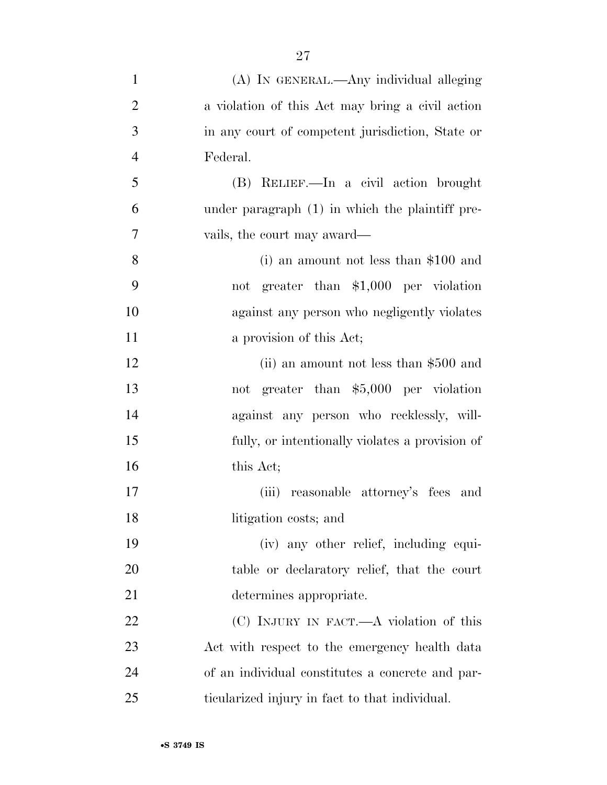| $\mathbf{1}$   | (A) IN GENERAL.—Any individual alleging           |
|----------------|---------------------------------------------------|
| $\overline{2}$ | a violation of this Act may bring a civil action  |
| 3              | in any court of competent jurisdiction, State or  |
| $\overline{4}$ | Federal.                                          |
| 5              | (B) RELIEF.—In a civil action brought             |
| 6              | under paragraph $(1)$ in which the plaintiff pre- |
| 7              | vails, the court may award—                       |
| 8              | (i) an amount not less than $$100$ and            |
| 9              | not greater than \$1,000 per violation            |
| 10             | against any person who negligently violates       |
| 11             | a provision of this Act;                          |
| 12             | (ii) an amount not less than \$500 and            |
| 13             | not greater than \$5,000 per violation            |
| 14             | against any person who recklessly, will-          |
| 15             | fully, or intentionally violates a provision of   |
| 16             | this Act;                                         |
| 17             | (iii) reasonable attorney's fees and              |
| 18             | litigation costs; and                             |
| 19             | (iv) any other relief, including equi-            |
| 20             | table or declaratory relief, that the court       |
| 21             | determines appropriate.                           |
| 22             | (C) INJURY IN FACT.—A violation of this           |
| 23             | Act with respect to the emergency health data     |
| 24             | of an individual constitutes a concrete and par-  |
| 25             | ticularized injury in fact to that individual.    |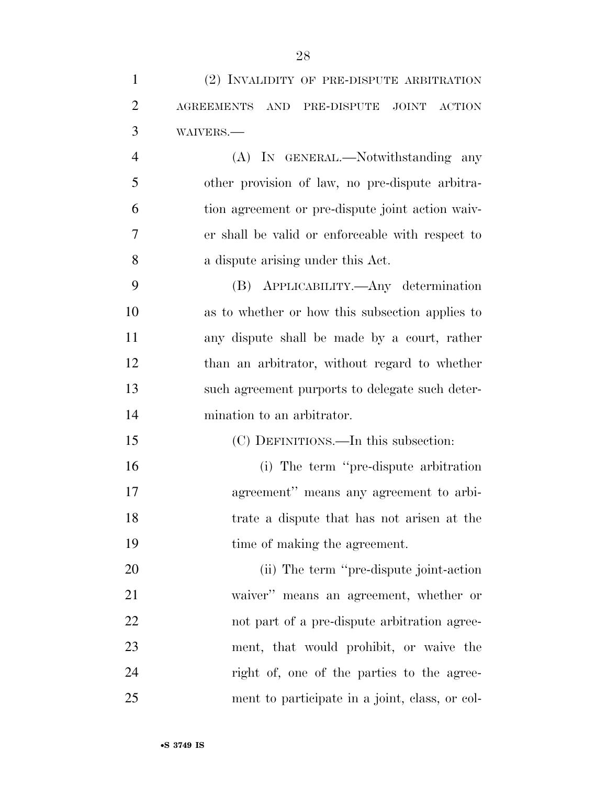| $\mathbf{1}$   | (2) INVALIDITY OF PRE-DISPUTE ARBITRATION                                |
|----------------|--------------------------------------------------------------------------|
| $\overline{2}$ | JOINT<br><b>AGREEMENTS</b><br><b>AND</b><br>PRE-DISPUTE<br><b>ACTION</b> |
| 3              | WAIVERS.-                                                                |
| $\overline{4}$ | (A) IN GENERAL.—Notwithstanding any                                      |
| 5              | other provision of law, no pre-dispute arbitra-                          |
| 6              | tion agreement or pre-dispute joint action waiv-                         |
| 7              | er shall be valid or enforceable with respect to                         |
| 8              | a dispute arising under this Act.                                        |
| 9              | (B) APPLICABILITY.—Any determination                                     |
| 10             | as to whether or how this subsection applies to                          |
| 11             | any dispute shall be made by a court, rather                             |
| 12             | than an arbitrator, without regard to whether                            |
| 13             | such agreement purports to delegate such deter-                          |
| 14             | mination to an arbitrator.                                               |
| 15             | (C) DEFINITIONS.—In this subsection:                                     |
| 16             | (i) The term "pre-dispute arbitration"                                   |
| 17             | agreement" means any agreement to arbi-                                  |
| 18             | trate a dispute that has not arisen at the                               |
| 19             | time of making the agreement.                                            |
| 20             | (ii) The term "pre-dispute joint-action"                                 |
| 21             | waiver" means an agreement, whether or                                   |
| 22             | not part of a pre-dispute arbitration agree-                             |
| 23             | ment, that would prohibit, or waive the                                  |
| 24             | right of, one of the parties to the agree-                               |
| 25             | ment to participate in a joint, class, or col-                           |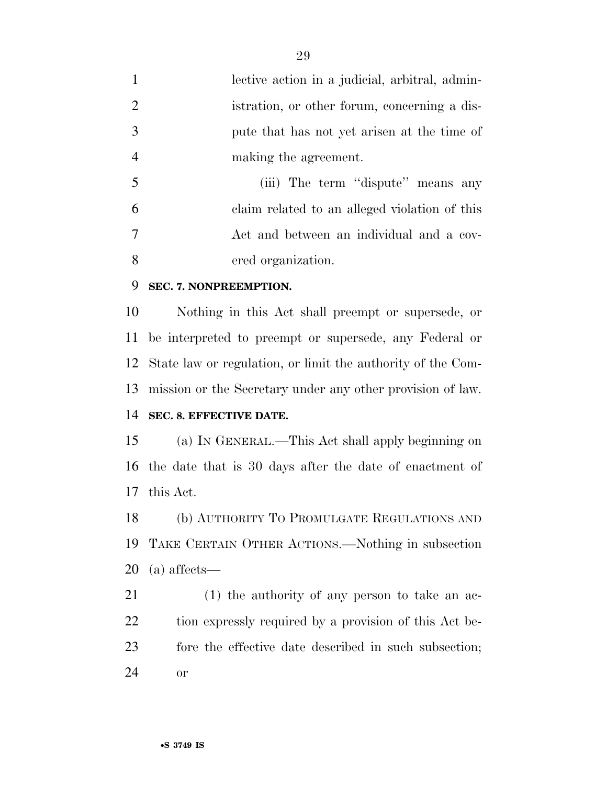- lective action in a judicial, arbitral, admin- istration, or other forum, concerning a dis- pute that has not yet arisen at the time of making the agreement.
- (iii) The term ''dispute'' means any claim related to an alleged violation of this Act and between an individual and a cov-ered organization.

#### **SEC. 7. NONPREEMPTION.**

 Nothing in this Act shall preempt or supersede, or be interpreted to preempt or supersede, any Federal or State law or regulation, or limit the authority of the Com-mission or the Secretary under any other provision of law.

### **SEC. 8. EFFECTIVE DATE.**

 (a) IN GENERAL.—This Act shall apply beginning on the date that is 30 days after the date of enactment of this Act.

 (b) AUTHORITY TO PROMULGATE REGULATIONS AND TAKE CERTAIN OTHER ACTIONS.—Nothing in subsection (a) affects—

 (1) the authority of any person to take an ac-22 tion expressly required by a provision of this Act be- fore the effective date described in such subsection; or